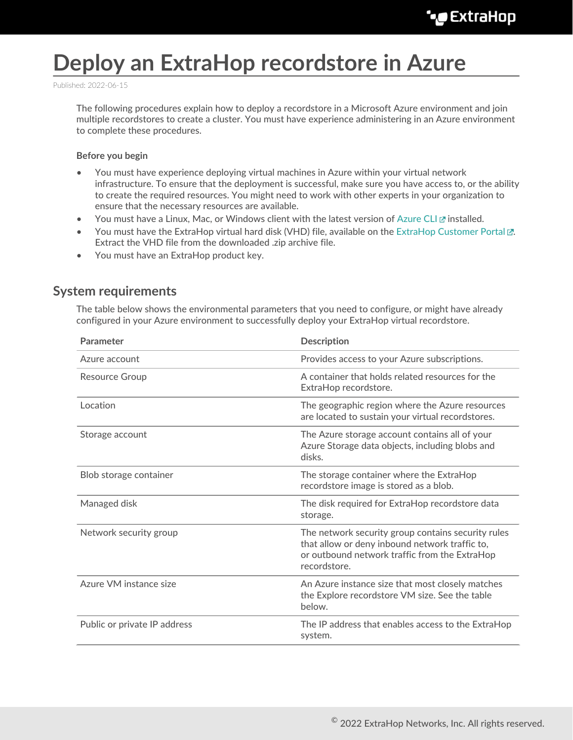# **Deploy an ExtraHop recordstore in Azure**

Published: 2022-06-15

The following procedures explain how to deploy a recordstore in a Microsoft Azure environment and join multiple recordstores to create a cluster. You must have experience administering in an Azure environment to complete these procedures.

#### **Before you begin**

- You must have experience deploying virtual machines in Azure within your virtual network infrastructure. To ensure that the deployment is successful, make sure you have access to, or the ability to create the required resources. You might need to work with other experts in your organization to ensure that the necessary resources are available.
- You must have a Linux, Mac, or Windows client with the latest version of [Azure CLI](https://docs.microsoft.com/en-us/cli/azure/install-azure-cli?view=azure-cli-latest)  $\mathbb F$  installed.
- You must have the ExtraHop virtual hard disk (VHD) file, available on the [ExtraHop Customer Portal .](https://customers.extrahop.com/downloads/virtual-appliances/).. Extract the VHD file from the downloaded .zip archive file.
- You must have an ExtraHop product key.

### **System requirements**

The table below shows the environmental parameters that you need to configure, or might have already configured in your Azure environment to successfully deploy your ExtraHop virtual recordstore.

| Parameter                    | <b>Description</b>                                                                                                                                                    |  |
|------------------------------|-----------------------------------------------------------------------------------------------------------------------------------------------------------------------|--|
| Azure account                | Provides access to your Azure subscriptions.                                                                                                                          |  |
| <b>Resource Group</b>        | A container that holds related resources for the<br>ExtraHop recordstore.                                                                                             |  |
| Location                     | The geographic region where the Azure resources<br>are located to sustain your virtual recordstores.                                                                  |  |
| Storage account              | The Azure storage account contains all of your<br>Azure Storage data objects, including blobs and<br>disks.                                                           |  |
| Blob storage container       | The storage container where the ExtraHop<br>recordstore image is stored as a blob.                                                                                    |  |
| Managed disk                 | The disk required for ExtraHop recordstore data<br>storage.                                                                                                           |  |
| Network security group       | The network security group contains security rules<br>that allow or deny inbound network traffic to,<br>or outbound network traffic from the ExtraHop<br>recordstore. |  |
| Azure VM instance size       | An Azure instance size that most closely matches<br>the Explore recordstore VM size. See the table<br>below.                                                          |  |
| Public or private IP address | The IP address that enables access to the ExtraHop<br>system.                                                                                                         |  |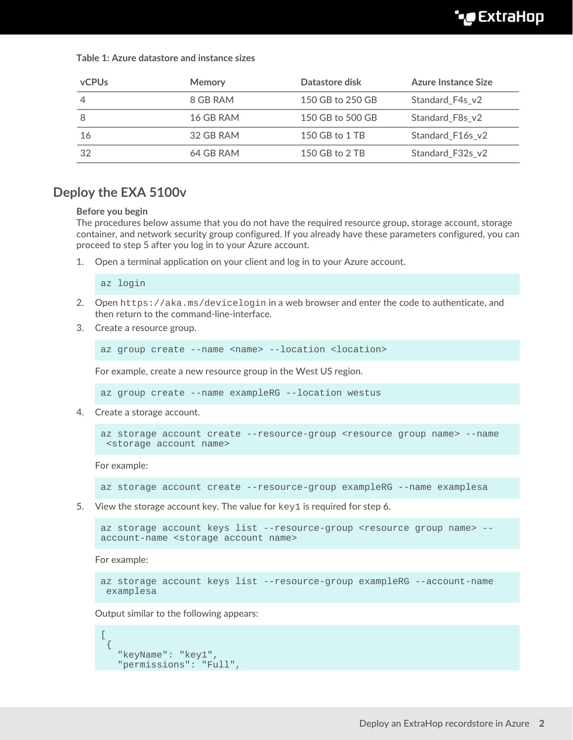**Table 1: Azure datastore and instance sizes**

| <b>vCPUs</b>   | <b>Memory</b> | Datastore disk   | Azure Instance Size |
|----------------|---------------|------------------|---------------------|
| $\overline{4}$ | 8 GB RAM      | 150 GB to 250 GB | Standard F4s v2     |
| -8             | 16 GB RAM     | 150 GB to 500 GB | Standard_F8s_v2     |
| 16             | 32 GB RAM     | 150 GB to 1 TB   | Standard F16s v2    |
| 32             | 64 GB RAM     | 150 GB to 2 TB   | Standard F32s v2    |

### **Deploy the EXA 5100v**

#### **Before you begin**

The procedures below assume that you do not have the required resource group, storage account, storage container, and network security group configured. If you already have these parameters configured, you can proceed to step 5 after you log in to your Azure account.

1. Open a terminal application on your client and log in to your Azure account.

az login

- 2. Open https://aka.ms/devicelogin in a web browser and enter the code to authenticate, and then return to the command-line-interface.
- 3. Create a resource group.

az group create --name <name> --location <location>

For example, create a new resource group in the West US region.

az group create --name exampleRG --location westus

4. Create a storage account.

```
az storage account create --resource-group <resource group name> --name
  <storage account name>
```
For example:

az storage account create --resource-group exampleRG --name examplesa

5. View the storage account key. The value for  $key1$  is required for step 6.

```
az storage account keys list --resource-group <resource group name> --
account-name <storage account name>
```
For example:

```
az storage account keys list --resource-group exampleRG --account-name
 examplesa
```
Output similar to the following appears:

```
\Gamma {
    "keyName": "key1",
    "permissions": "Full",
```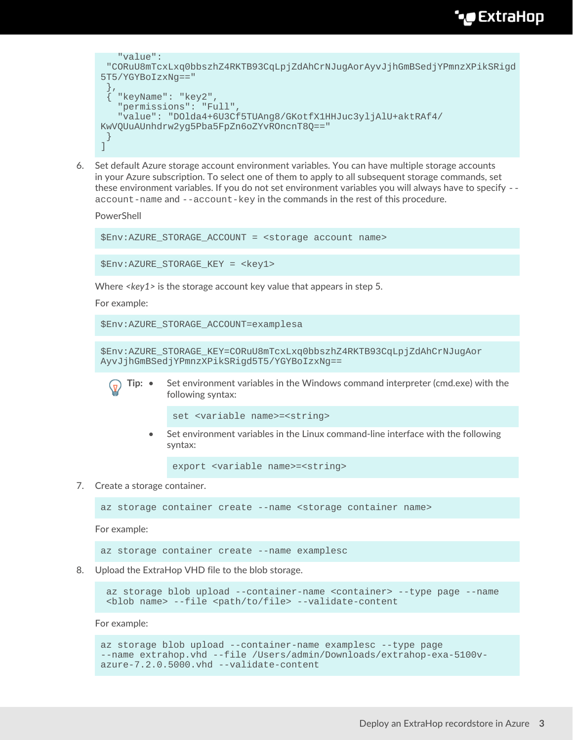# \*e ExtraHop

```
 "value":
  "CORuU8mTcxLxq0bbszhZ4RKTB93CqLpjZdAhCrNJugAorAyvJjhGmBSedjYPmnzXPikSRigd
5T5/YGYBoIzxNg=="
 },
   { "keyName": "key2",
    "permissions": "Full",
    "value": "DOlda4+6U3Cf5TUAng8/GKotfX1HHJuc3yljAlU+aktRAf4/
KwVQUuAUnhdrw2yg5Pba5FpZn6oZYvROncnT8Q=="
  }
]
```
6. Set default Azure storage account environment variables. You can have multiple storage accounts in your Azure subscription. To select one of them to apply to all subsequent storage commands, set these environment variables. If you do not set environment variables you will always have to specify - account-name and --account-key in the commands in the rest of this procedure.

PowerShell

\$Env:AZURE\_STORAGE\_ACCOUNT = <storage account name>

\$Env:AZURE\_STORAGE\_KEY = <key1>

Where *<key1>* is the storage account key value that appears in step 5.

For example:

```
$Env:AZURE_STORAGE_ACCOUNT=examplesa
```
\$Env:AZURE\_STORAGE\_KEY=CORuU8mTcxLxq0bbszhZ4RKTB93CqLpjZdAhCrNJugAor AyvJjhGmBSedjYPmnzXPikSRigd5T5/YGYBoIzxNg==



**Tip:** • Set environment variables in the Windows command interpreter (cmd.exe) with the following syntax:

set <variable name>=<string>

• Set environment variables in the Linux command-line interface with the following syntax:

export <variable name>=<string>

#### 7. Create a storage container.

az storage container create --name <storage container name>

For example:

az storage container create --name examplesc

8. Upload the ExtraHop VHD file to the blob storage.

 az storage blob upload --container-name <container> --type page --name <blob name> --file <path/to/file> --validate-content

For example:

```
az storage blob upload --container-name examplesc --type page
--name extrahop.vhd --file /Users/admin/Downloads/extrahop-exa-5100v-
azure-7.2.0.5000.vhd --validate-content
```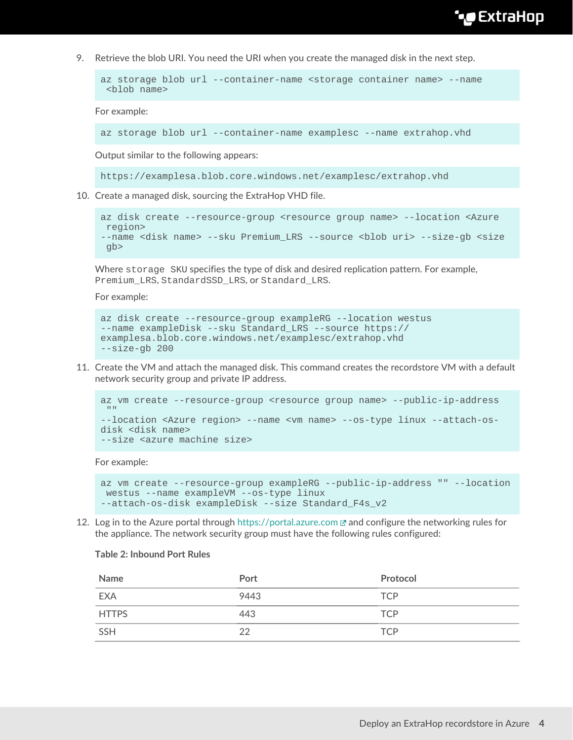## **∙e** ExtraHop

9. Retrieve the blob URI. You need the URI when you create the managed disk in the next step.

```
az storage blob url --container-name <storage container name> --name
  <blob name>
```
For example:

```
az storage blob url --container-name examplesc --name extrahop.vhd
```
Output similar to the following appears:

https://examplesa.blob.core.windows.net/examplesc/extrahop.vhd

10. Create a managed disk, sourcing the ExtraHop VHD file.

```
az disk create --resource-group <resource group name> --location <Azure
 region> 
--name <disk name> --sku Premium_LRS --source <blob uri> --size-gb <size
 gb>
```
Where storage SKU specifies the type of disk and desired replication pattern. For example, Premium\_LRS, StandardSSD\_LRS, or Standard\_LRS.

For example:

```
az disk create --resource-group exampleRG --location westus 
--name exampleDisk --sku Standard_LRS --source https://
examplesa.blob.core.windows.net/examplesc/extrahop.vhd 
--size-gb 200
```
11. Create the VM and attach the managed disk. This command creates the recordstore VM with a default network security group and private IP address.

```
az vm create --resource-group <resource group name> --public-ip-address
^{\rm m} "
--location <Azure region> --name <vm name> --os-type linux --attach-os-
disk <disk name> 
--size <azure machine size>
```
For example:

```
az vm create --resource-group exampleRG --public-ip-address "" --location
 westus --name exampleVM --os-type linux 
--attach-os-disk exampleDisk --size Standard_F4s_v2
```
12. Log in to the Azure portal through <https://portal.azure.com> $\mathbb Z$  and configure the networking rules for the appliance. The network security group must have the following rules configured:

#### **Table 2: Inbound Port Rules**

| Name         | Port | Protocol   |
|--------------|------|------------|
| <b>EXA</b>   | 9443 | <b>TCP</b> |
| <b>HTTPS</b> | 443  | <b>TCP</b> |
| SSH          | 22   | <b>TCP</b> |